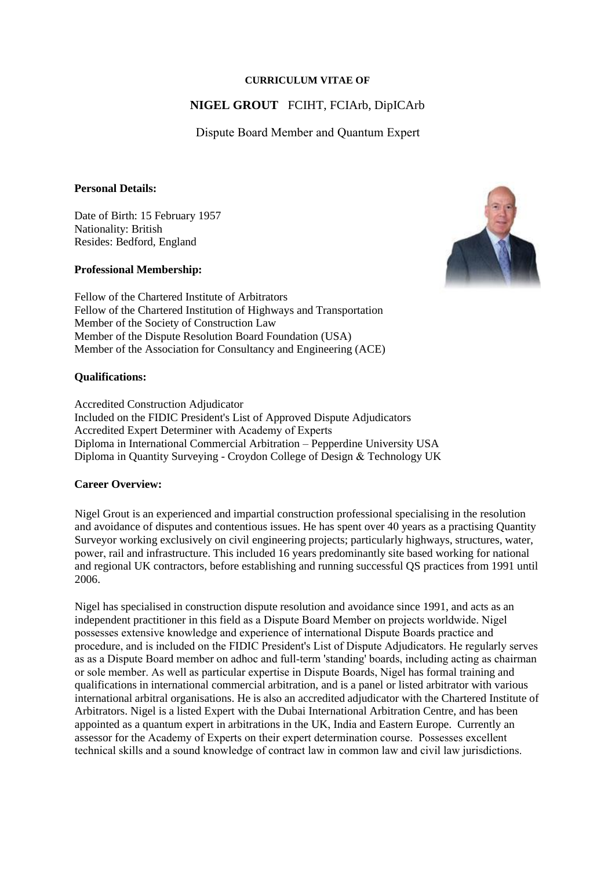### **CURRICULUM VITAE OF**

# **NIGEL GROUT** FCIHT, FCIArb, DipICArb

Dispute Board Member and Quantum Expert

### **Personal Details:**

Date of Birth: 15 February 1957 Nationality: British Resides: Bedford, England

## **Professional Membership:**



Fellow of the Chartered Institute of Arbitrators Fellow of the Chartered Institution of Highways and Transportation Member of the Society of Construction Law Member of the Dispute Resolution Board Foundation (USA) Member of the Association for Consultancy and Engineering (ACE)

## **Qualifications:**

Accredited Construction Adjudicator Included on the FIDIC President's List of Approved Dispute Adjudicators Accredited Expert Determiner with Academy of Experts Diploma in International Commercial Arbitration – Pepperdine University USA Diploma in Quantity Surveying - Croydon College of Design & Technology UK

## **Career Overview:**

Nigel Grout is an experienced and impartial construction professional specialising in the resolution and avoidance of disputes and contentious issues. He has spent over 40 years as a practising Quantity Surveyor working exclusively on civil engineering projects; particularly highways, structures, water, power, rail and infrastructure. This included 16 years predominantly site based working for national and regional UK contractors, before establishing and running successful QS practices from 1991 until 2006.

Nigel has specialised in construction dispute resolution and avoidance since 1991, and acts as an independent practitioner in this field as a Dispute Board Member on projects worldwide. Nigel possesses extensive knowledge and experience of international Dispute Boards practice and procedure, and is included on the FIDIC President's List of Dispute Adjudicators. He regularly serves as as a Dispute Board member on adhoc and full-term 'standing' boards, including acting as chairman or sole member. As well as particular expertise in Dispute Boards, Nigel has formal training and qualifications in international commercial arbitration, and is a panel or listed arbitrator with various international arbitral organisations. He is also an accredited adjudicator with the Chartered Institute of Arbitrators. Nigel is a listed Expert with the Dubai International Arbitration Centre, and has been appointed as a quantum expert in arbitrations in the UK, India and Eastern Europe. Currently an assessor for the Academy of Experts on their expert determination course. Possesses excellent technical skills and a sound knowledge of contract law in common law and civil law jurisdictions.